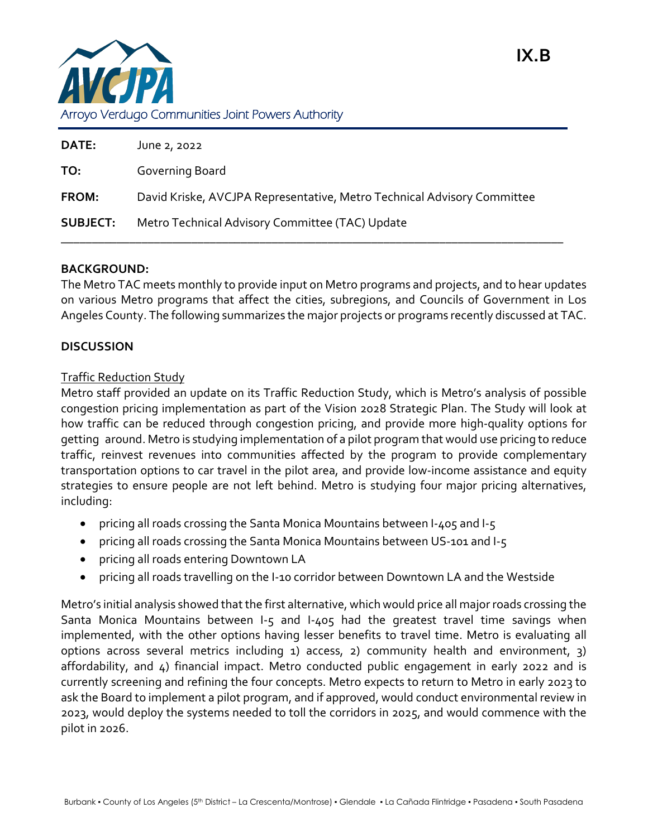

| <b>DATE:</b>    | June 2, 2022                                                            |
|-----------------|-------------------------------------------------------------------------|
| TO:             | Governing Board                                                         |
| <b>FROM:</b>    | David Kriske, AVCJPA Representative, Metro Technical Advisory Committee |
| <b>SUBJECT:</b> | Metro Technical Advisory Committee (TAC) Update                         |

### **BACKGROUND:**

The Metro TAC meets monthly to provide input on Metro programs and projects, and to hear updates on various Metro programs that affect the cities, subregions, and Councils of Government in Los Angeles County. The following summarizes the major projects or programs recently discussed at TAC.

### **DISCUSSION**

### Traffic Reduction Study

Metro staff provided an update on its Traffic Reduction Study, which is Metro's analysis of possible congestion pricing implementation as part of the Vision 2028 Strategic Plan. The Study will look at how traffic can be reduced through congestion pricing, and provide more high-quality options for getting around. Metro is studying implementation of a pilot program that would use pricing to reduce traffic, reinvest revenues into communities affected by the program to provide complementary transportation options to car travel in the pilot area, and provide low-income assistance and equity strategies to ensure people are not left behind. Metro is studying four major pricing alternatives, including:

- pricing all roads crossing the Santa Monica Mountains between I-405 and I-5
- pricing all roads crossing the Santa Monica Mountains between US-101 and I-5
- pricing all roads entering Downtown LA
- pricing all roads travelling on the I-10 corridor between Downtown LA and the Westside

Metro's initial analysis showed that the first alternative, which would price all major roads crossing the Santa Monica Mountains between I-5 and I-405 had the greatest travel time savings when implemented, with the other options having lesser benefits to travel time. Metro is evaluating all options across several metrics including 1) access, 2) community health and environment, 3) affordability, and 4) financial impact. Metro conducted public engagement in early 2022 and is currently screening and refining the four concepts. Metro expects to return to Metro in early 2023 to ask the Board to implement a pilot program, and if approved, would conduct environmental review in 2023, would deploy the systems needed to toll the corridors in 2025, and would commence with the pilot in 2026.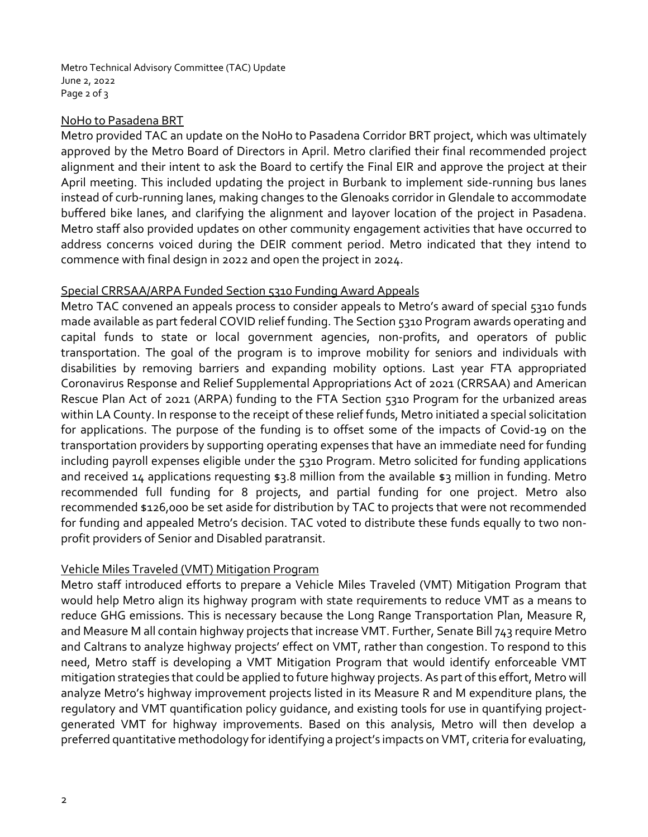Metro Technical Advisory Committee (TAC) Update June 2, 2022 Page 2 of 3

### NoHo to Pasadena BRT

Metro provided TAC an update on the NoHo to Pasadena Corridor BRT project, which was ultimately approved by the Metro Board of Directors in April. Metro clarified their final recommended project alignment and their intent to ask the Board to certify the Final EIR and approve the project at their April meeting. This included updating the project in Burbank to implement side-running bus lanes instead of curb-running lanes, making changes to the Glenoaks corridor in Glendale to accommodate buffered bike lanes, and clarifying the alignment and layover location of the project in Pasadena. Metro staff also provided updates on other community engagement activities that have occurred to address concerns voiced during the DEIR comment period. Metro indicated that they intend to commence with final design in 2022 and open the project in 2024.

# Special CRRSAA/ARPA Funded Section 5310 Funding Award Appeals

Metro TAC convened an appeals process to consider appeals to Metro's award of special 5310 funds made available as part federal COVID relief funding. The Section 5310 Program awards operating and capital funds to state or local government agencies, non-profits, and operators of public transportation. The goal of the program is to improve mobility for seniors and individuals with disabilities by removing barriers and expanding mobility options. Last year FTA appropriated Coronavirus Response and Relief Supplemental Appropriations Act of 2021 (CRRSAA) and American Rescue Plan Act of 2021 (ARPA) funding to the FTA Section 5310 Program for the urbanized areas within LA County. In response to the receipt of these relief funds, Metro initiated a special solicitation for applications. The purpose of the funding is to offset some of the impacts of Covid-19 on the transportation providers by supporting operating expenses that have an immediate need for funding including payroll expenses eligible under the 5310 Program. Metro solicited for funding applications and received 14 applications requesting \$3.8 million from the available \$3 million in funding. Metro recommended full funding for 8 projects, and partial funding for one project. Metro also recommended \$126,000 be set aside for distribution by TAC to projects that were not recommended for funding and appealed Metro's decision. TAC voted to distribute these funds equally to two nonprofit providers of Senior and Disabled paratransit.

# Vehicle Miles Traveled (VMT) Mitigation Program

Metro staff introduced efforts to prepare a Vehicle Miles Traveled (VMT) Mitigation Program that would help Metro align its highway program with state requirements to reduce VMT as a means to reduce GHG emissions. This is necessary because the Long Range Transportation Plan, Measure R, and Measure M all contain highway projects that increase VMT. Further, Senate Bill 743 require Metro and Caltrans to analyze highway projects' effect on VMT, rather than congestion. To respond to this need, Metro staff is developing a VMT Mitigation Program that would identify enforceable VMT mitigation strategies that could be applied to future highway projects. As part of this effort, Metro will analyze Metro's highway improvement projects listed in its Measure R and M expenditure plans, the regulatory and VMT quantification policy guidance, and existing tools for use in quantifying projectgenerated VMT for highway improvements. Based on this analysis, Metro will then develop a preferred quantitative methodology for identifying a project's impacts on VMT, criteria for evaluating,